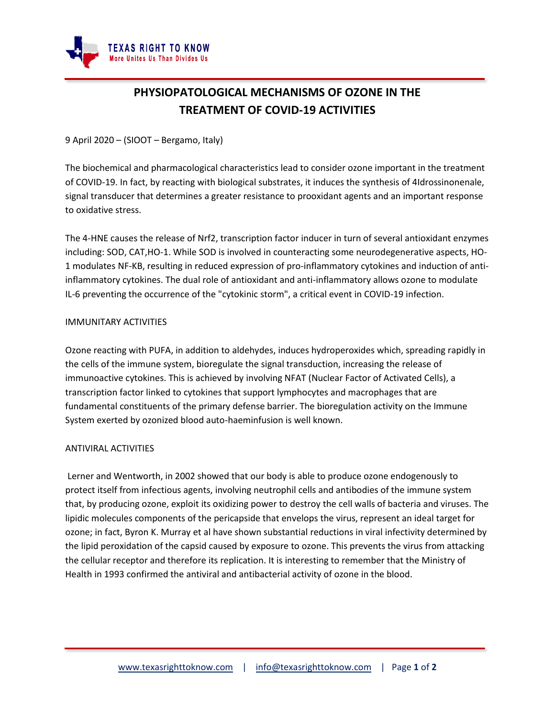

# **PHYSIOPATOLOGICAL MECHANISMS OF OZONE IN THE TREATMENT OF COVID-19 ACTIVITIES**

9 April 2020 – (SIOOT – Bergamo, Italy)

The biochemical and pharmacological characteristics lead to consider ozone important in the treatment of COVID-19. In fact, by reacting with biological substrates, it induces the synthesis of 4Idrossinonenale, signal transducer that determines a greater resistance to prooxidant agents and an important response to oxidative stress.

The 4-HNE causes the release of Nrf2, transcription factor inducer in turn of several antioxidant enzymes including: SOD, CAT,HO-1. While SOD is involved in counteracting some neurodegenerative aspects, HO-1 modulates NF-KB, resulting in reduced expression of pro-inflammatory cytokines and induction of antiinflammatory cytokines. The dual role of antioxidant and anti-inflammatory allows ozone to modulate IL-6 preventing the occurrence of the "cytokinic storm", a critical event in COVID-19 infection.

# IMMUNITARY ACTIVITIES

Ozone reacting with PUFA, in addition to aldehydes, induces hydroperoxides which, spreading rapidly in the cells of the immune system, bioregulate the signal transduction, increasing the release of immunoactive cytokines. This is achieved by involving NFAT (Nuclear Factor of Activated Cells), a transcription factor linked to cytokines that support lymphocytes and macrophages that are fundamental constituents of the primary defense barrier. The bioregulation activity on the Immune System exerted by ozonized blood auto-haeminfusion is well known.

# ANTIVIRAL ACTIVITIES

Lerner and Wentworth, in 2002 showed that our body is able to produce ozone endogenously to protect itself from infectious agents, involving neutrophil cells and antibodies of the immune system that, by producing ozone, exploit its oxidizing power to destroy the cell walls of bacteria and viruses. The lipidic molecules components of the pericapside that envelops the virus, represent an ideal target for ozone; in fact, Byron K. Murray et al have shown substantial reductions in viral infectivity determined by the lipid peroxidation of the capsid caused by exposure to ozone. This prevents the virus from attacking the cellular receptor and therefore its replication. It is interesting to remember that the Ministry of Health in 1993 confirmed the antiviral and antibacterial activity of ozone in the blood.